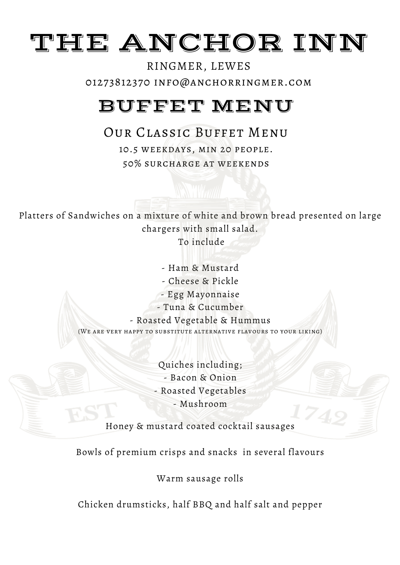# THE ANCHOR INN

### RINGMER, LEWES 01273812370 info@anchorringmer.com

# BUFFET MENU

### Our Classic Buffet Menu

10.5 weekdays, min 20 people. 50% surcharge at weekends

Platters of Sandwiches on a mixture of white and brown bread presented on large chargers with small salad. To include

> - Ham & Mustard - Cheese & Pickle - Egg Mayonnaise - Tuna & Cucumber - Roasted Vegetable & Hummus (We are very happy to substitute alternative flavours to your liking)

> > Quiches including; - Bacon & Onion - Roasted Vegetables - Mushroom

Honey & mustard coated cocktail sausages

Bowls of premium crisps and snacks in several flavours

Warm sausage rolls

Chicken drumsticks, half BBQ and half salt and pepper